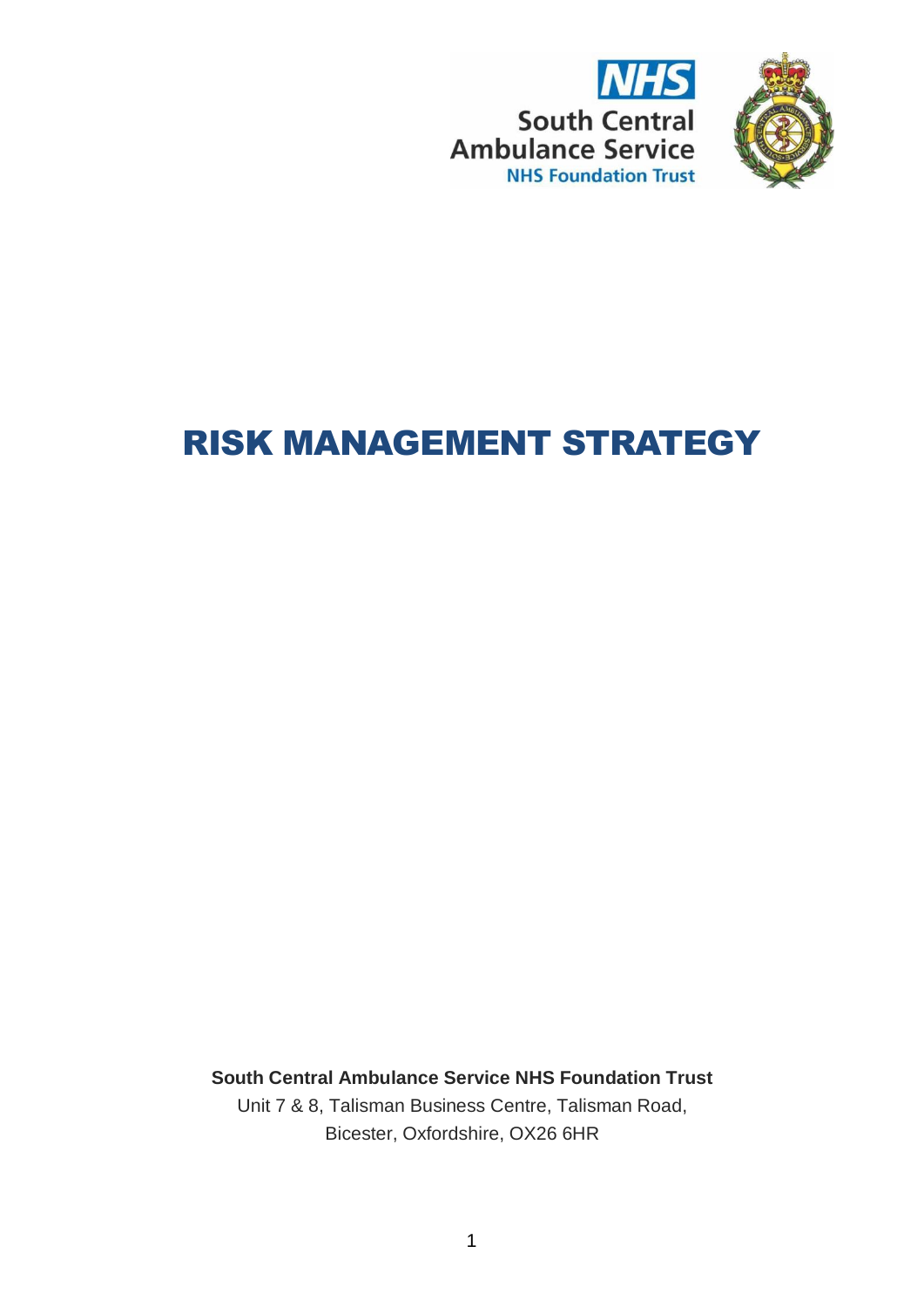



# RISK MANAGEMENT STRATEGY

**South Central Ambulance Service NHS Foundation Trust** Unit 7 & 8, Talisman Business Centre, Talisman Road, Bicester, Oxfordshire, OX26 6HR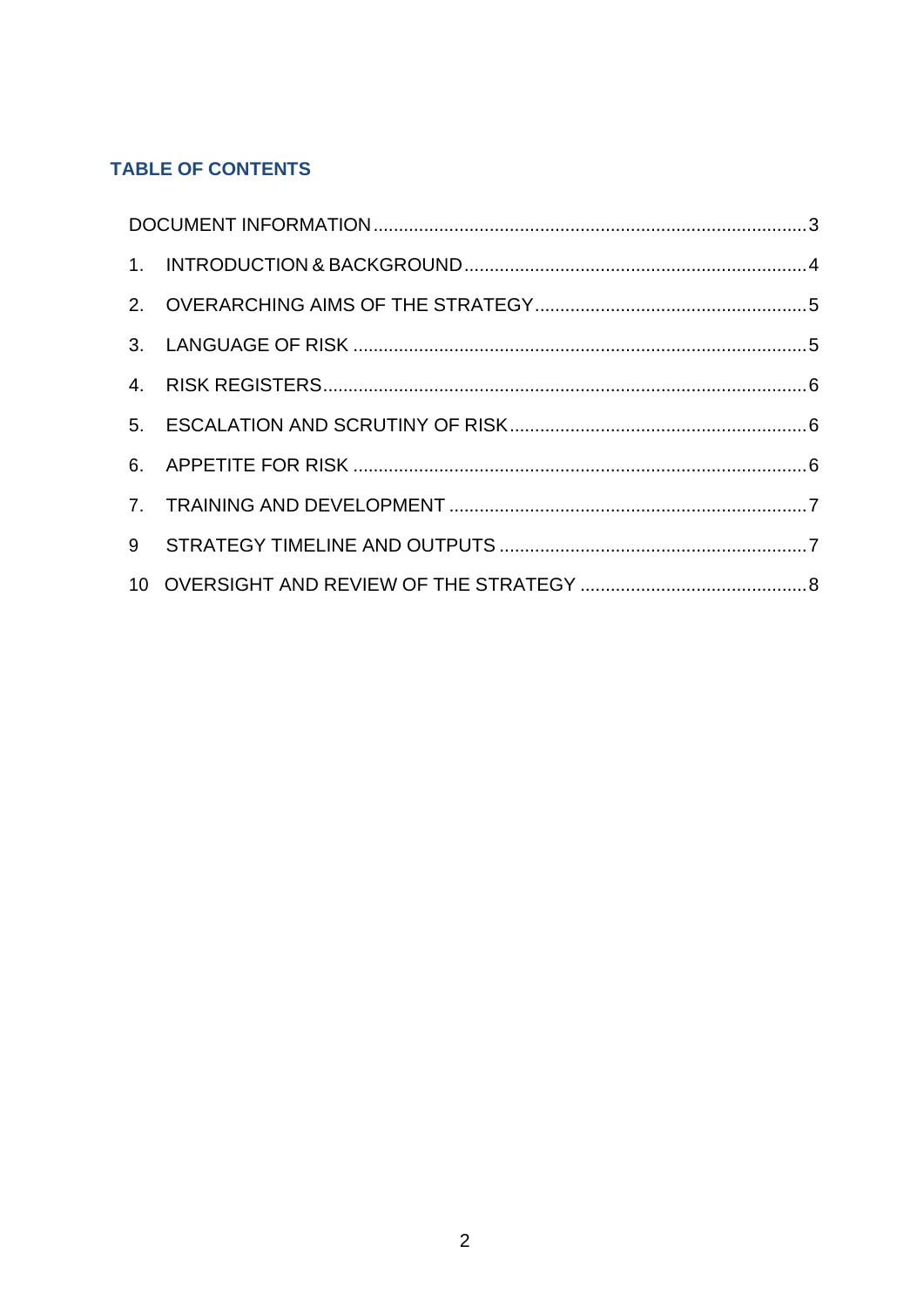# **TABLE OF CONTENTS**

| 9 |  |  |  |
|---|--|--|--|
|   |  |  |  |
|   |  |  |  |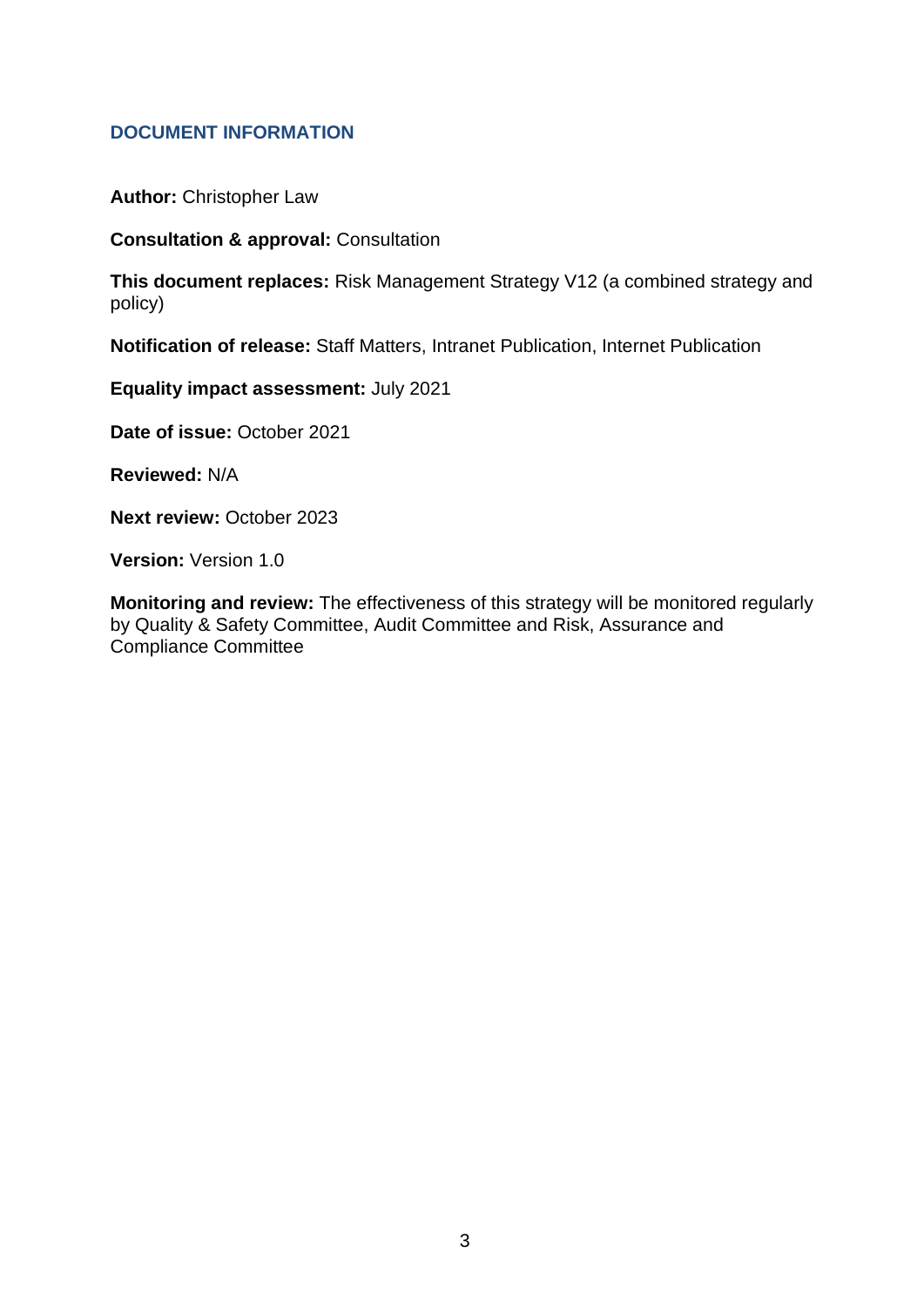#### **DOCUMENT INFORMATION**

**Author:** Christopher Law

**Consultation & approval:** Consultation

**This document replaces:** Risk Management Strategy V12 (a combined strategy and policy)

**Notification of release:** Staff Matters, Intranet Publication, Internet Publication

**Equality impact assessment:** July 2021

**Date of issue:** October 2021

**Reviewed:** N/A

**Next review:** October 2023

**Version:** Version 1.0

**Monitoring and review:** The effectiveness of this strategy will be monitored regularly by Quality & Safety Committee, Audit Committee and Risk, Assurance and Compliance Committee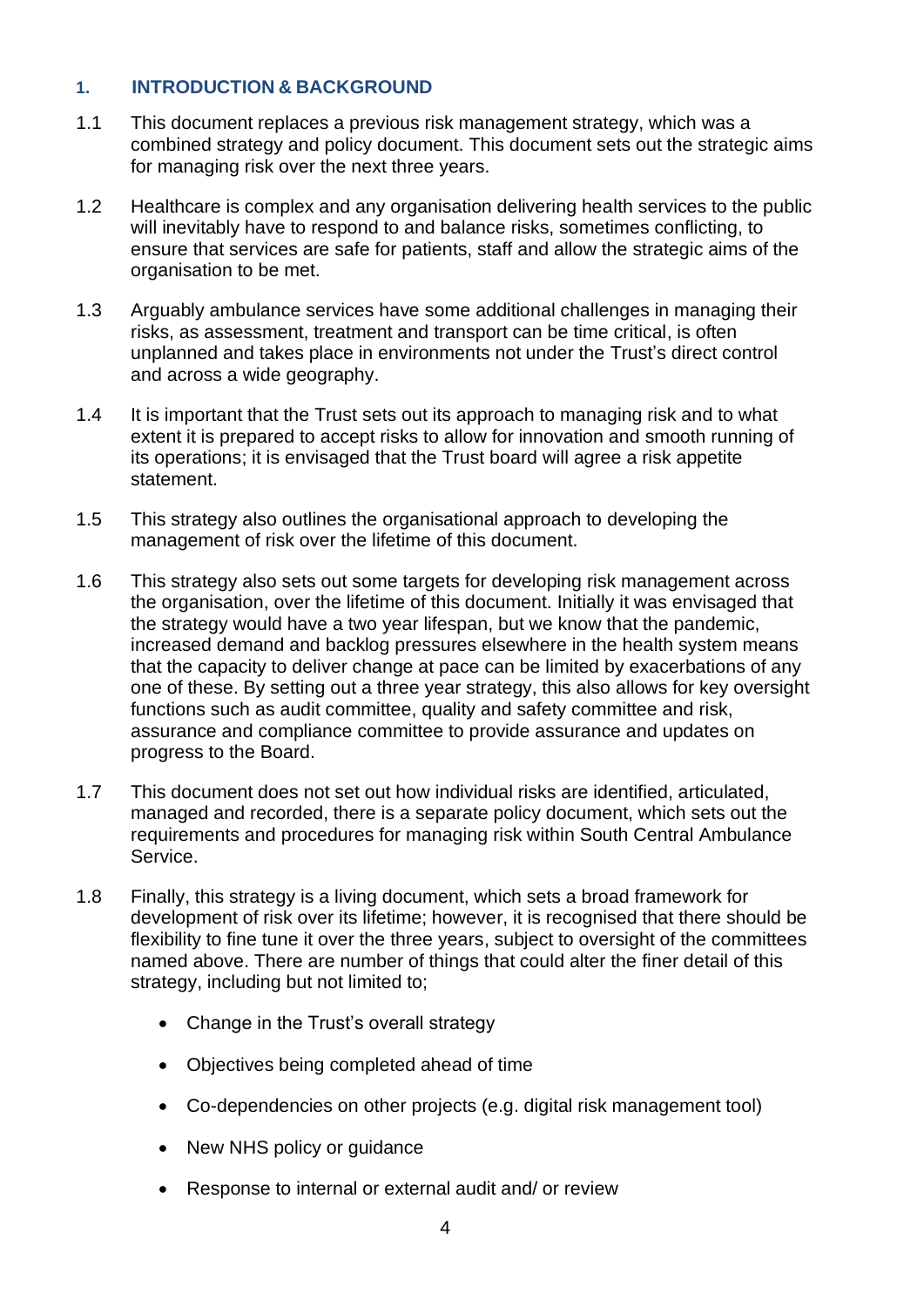#### **1. INTRODUCTION & BACKGROUND**

- 1.1 This document replaces a previous risk management strategy, which was a combined strategy and policy document. This document sets out the strategic aims for managing risk over the next three years.
- 1.2 Healthcare is complex and any organisation delivering health services to the public will inevitably have to respond to and balance risks, sometimes conflicting, to ensure that services are safe for patients, staff and allow the strategic aims of the organisation to be met.
- 1.3 Arguably ambulance services have some additional challenges in managing their risks, as assessment, treatment and transport can be time critical, is often unplanned and takes place in environments not under the Trust's direct control and across a wide geography.
- 1.4 It is important that the Trust sets out its approach to managing risk and to what extent it is prepared to accept risks to allow for innovation and smooth running of its operations; it is envisaged that the Trust board will agree a risk appetite statement.
- 1.5 This strategy also outlines the organisational approach to developing the management of risk over the lifetime of this document.
- 1.6 This strategy also sets out some targets for developing risk management across the organisation, over the lifetime of this document. Initially it was envisaged that the strategy would have a two year lifespan, but we know that the pandemic, increased demand and backlog pressures elsewhere in the health system means that the capacity to deliver change at pace can be limited by exacerbations of any one of these. By setting out a three year strategy, this also allows for key oversight functions such as audit committee, quality and safety committee and risk, assurance and compliance committee to provide assurance and updates on progress to the Board.
- 1.7 This document does not set out how individual risks are identified, articulated, managed and recorded, there is a separate policy document, which sets out the requirements and procedures for managing risk within South Central Ambulance Service.
- 1.8 Finally, this strategy is a living document, which sets a broad framework for development of risk over its lifetime; however, it is recognised that there should be flexibility to fine tune it over the three years, subject to oversight of the committees named above. There are number of things that could alter the finer detail of this strategy, including but not limited to;
	- Change in the Trust's overall strategy
	- Objectives being completed ahead of time
	- Co-dependencies on other projects (e.g. digital risk management tool)
	- New NHS policy or quidance
	- Response to internal or external audit and/ or review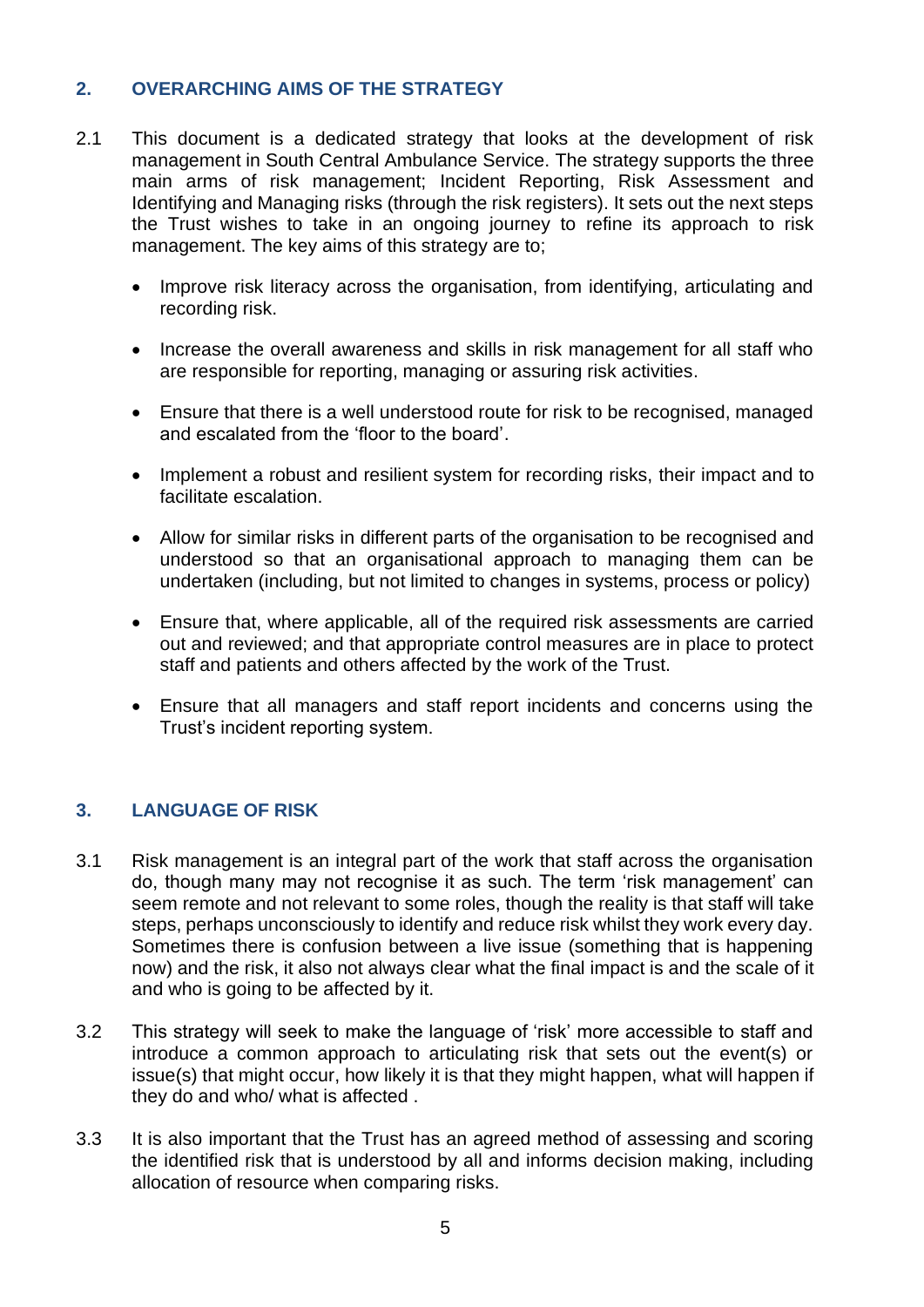## **2. OVERARCHING AIMS OF THE STRATEGY**

- 2.1 This document is a dedicated strategy that looks at the development of risk management in South Central Ambulance Service. The strategy supports the three main arms of risk management; Incident Reporting, Risk Assessment and Identifying and Managing risks (through the risk registers). It sets out the next steps the Trust wishes to take in an ongoing journey to refine its approach to risk management. The key aims of this strategy are to;
	- Improve risk literacy across the organisation, from identifying, articulating and recording risk.
	- Increase the overall awareness and skills in risk management for all staff who are responsible for reporting, managing or assuring risk activities.
	- Ensure that there is a well understood route for risk to be recognised, managed and escalated from the 'floor to the board'.
	- Implement a robust and resilient system for recording risks, their impact and to facilitate escalation.
	- Allow for similar risks in different parts of the organisation to be recognised and understood so that an organisational approach to managing them can be undertaken (including, but not limited to changes in systems, process or policy)
	- Ensure that, where applicable, all of the required risk assessments are carried out and reviewed; and that appropriate control measures are in place to protect staff and patients and others affected by the work of the Trust.
	- Ensure that all managers and staff report incidents and concerns using the Trust's incident reporting system.

#### **3. LANGUAGE OF RISK**

- 3.1 Risk management is an integral part of the work that staff across the organisation do, though many may not recognise it as such. The term 'risk management' can seem remote and not relevant to some roles, though the reality is that staff will take steps, perhaps unconsciously to identify and reduce risk whilst they work every day. Sometimes there is confusion between a live issue (something that is happening now) and the risk, it also not always clear what the final impact is and the scale of it and who is going to be affected by it.
- 3.2 This strategy will seek to make the language of 'risk' more accessible to staff and introduce a common approach to articulating risk that sets out the event(s) or issue(s) that might occur, how likely it is that they might happen, what will happen if they do and who/ what is affected .
- 3.3 It is also important that the Trust has an agreed method of assessing and scoring the identified risk that is understood by all and informs decision making, including allocation of resource when comparing risks.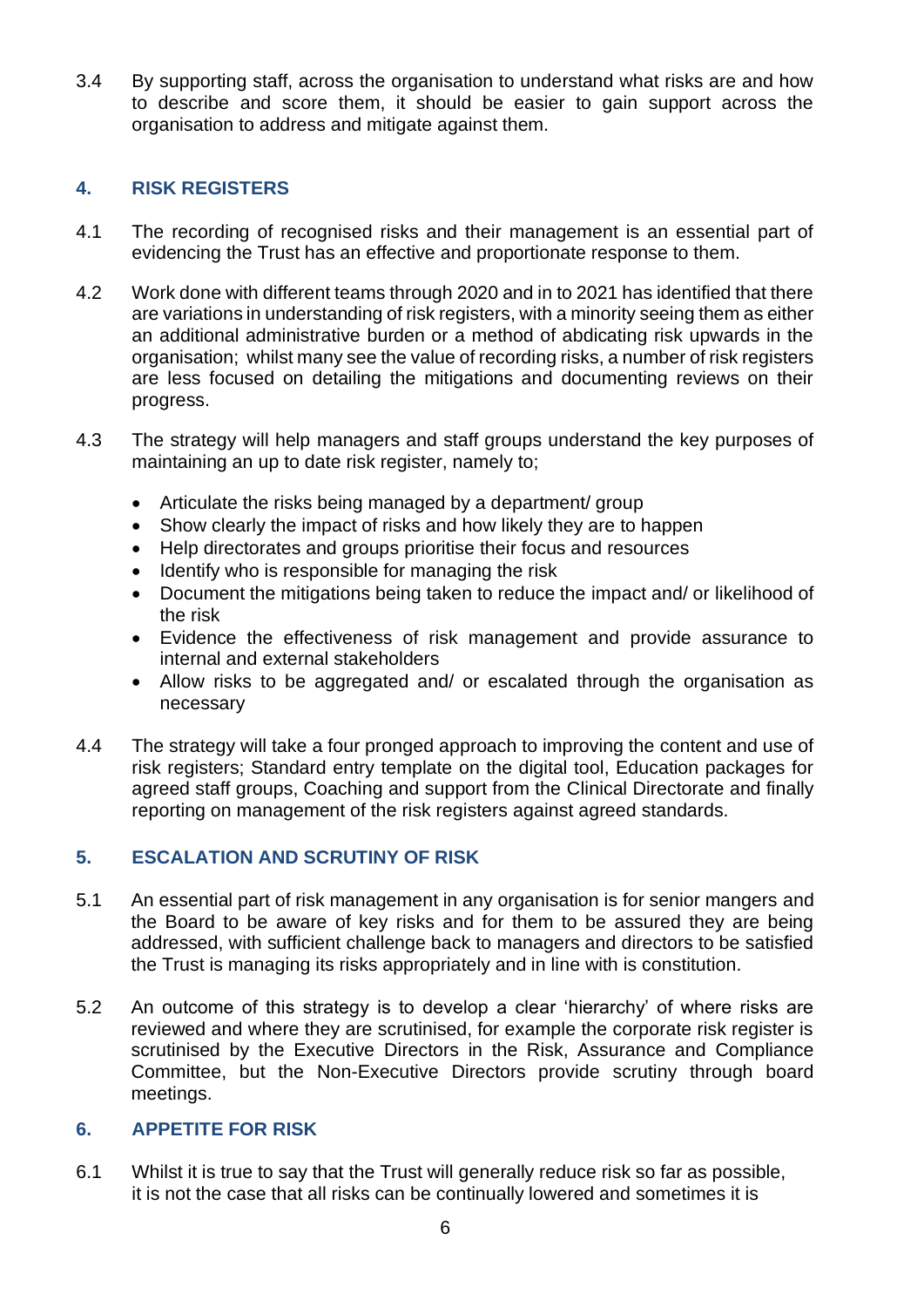3.4 By supporting staff, across the organisation to understand what risks are and how to describe and score them, it should be easier to gain support across the organisation to address and mitigate against them.

## **4. RISK REGISTERS**

- 4.1 The recording of recognised risks and their management is an essential part of evidencing the Trust has an effective and proportionate response to them.
- 4.2 Work done with different teams through 2020 and in to 2021 has identified that there are variations in understanding of risk registers, with a minority seeing them as either an additional administrative burden or a method of abdicating risk upwards in the organisation; whilst many see the value of recording risks, a number of risk registers are less focused on detailing the mitigations and documenting reviews on their progress.
- 4.3 The strategy will help managers and staff groups understand the key purposes of maintaining an up to date risk register, namely to;
	- Articulate the risks being managed by a department/ group
	- Show clearly the impact of risks and how likely they are to happen
	- Help directorates and groups prioritise their focus and resources
	- Identify who is responsible for managing the risk
	- Document the mitigations being taken to reduce the impact and/ or likelihood of the risk
	- Evidence the effectiveness of risk management and provide assurance to internal and external stakeholders
	- Allow risks to be aggregated and/ or escalated through the organisation as necessary
- 4.4 The strategy will take a four pronged approach to improving the content and use of risk registers; Standard entry template on the digital tool, Education packages for agreed staff groups, Coaching and support from the Clinical Directorate and finally reporting on management of the risk registers against agreed standards.

## **5. ESCALATION AND SCRUTINY OF RISK**

- 5.1 An essential part of risk management in any organisation is for senior mangers and the Board to be aware of key risks and for them to be assured they are being addressed, with sufficient challenge back to managers and directors to be satisfied the Trust is managing its risks appropriately and in line with is constitution.
- 5.2 An outcome of this strategy is to develop a clear 'hierarchy' of where risks are reviewed and where they are scrutinised, for example the corporate risk register is scrutinised by the Executive Directors in the Risk, Assurance and Compliance Committee, but the Non-Executive Directors provide scrutiny through board meetings.

## **6. APPETITE FOR RISK**

6.1 Whilst it is true to say that the Trust will generally reduce risk so far as possible, it is not the case that all risks can be continually lowered and sometimes it is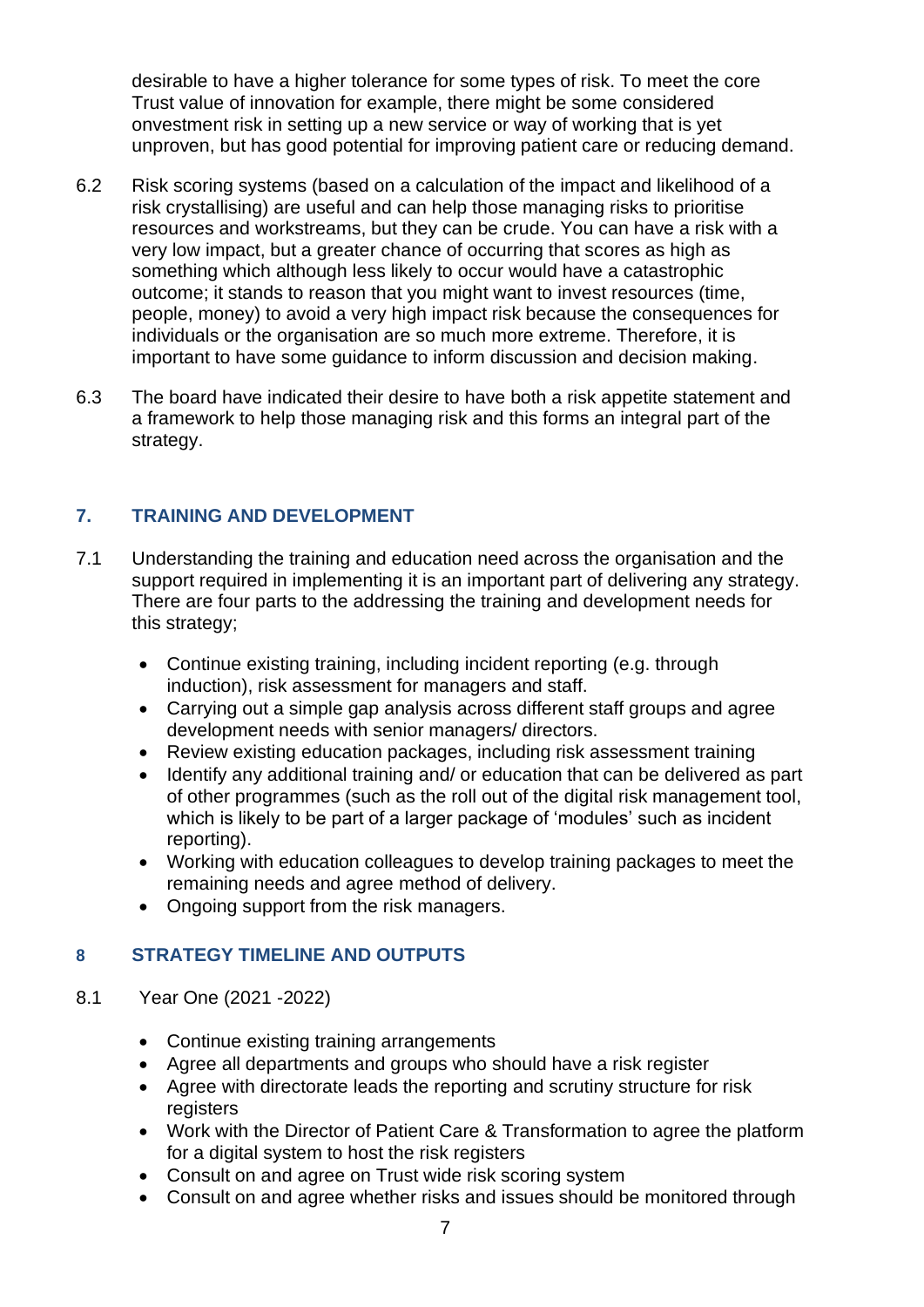desirable to have a higher tolerance for some types of risk. To meet the core Trust value of innovation for example, there might be some considered onvestment risk in setting up a new service or way of working that is yet unproven, but has good potential for improving patient care or reducing demand.

- 6.2 Risk scoring systems (based on a calculation of the impact and likelihood of a risk crystallising) are useful and can help those managing risks to prioritise resources and workstreams, but they can be crude. You can have a risk with a very low impact, but a greater chance of occurring that scores as high as something which although less likely to occur would have a catastrophic outcome; it stands to reason that you might want to invest resources (time, people, money) to avoid a very high impact risk because the consequences for individuals or the organisation are so much more extreme. Therefore, it is important to have some guidance to inform discussion and decision making.
- 6.3 The board have indicated their desire to have both a risk appetite statement and a framework to help those managing risk and this forms an integral part of the strategy.

## **7. TRAINING AND DEVELOPMENT**

- 7.1 Understanding the training and education need across the organisation and the support required in implementing it is an important part of delivering any strategy. There are four parts to the addressing the training and development needs for this strategy;
	- Continue existing training, including incident reporting (e.g. through induction), risk assessment for managers and staff.
	- Carrying out a simple gap analysis across different staff groups and agree development needs with senior managers/ directors.
	- Review existing education packages, including risk assessment training
	- Identify any additional training and/ or education that can be delivered as part of other programmes (such as the roll out of the digital risk management tool, which is likely to be part of a larger package of 'modules' such as incident reporting).
	- Working with education colleagues to develop training packages to meet the remaining needs and agree method of delivery.
	- Ongoing support from the risk managers.

# **8 STRATEGY TIMELINE AND OUTPUTS**

- 8.1 Year One (2021 -2022)
	- Continue existing training arrangements
	- Agree all departments and groups who should have a risk register
	- Agree with directorate leads the reporting and scrutiny structure for risk registers
	- Work with the Director of Patient Care & Transformation to agree the platform for a digital system to host the risk registers
	- Consult on and agree on Trust wide risk scoring system
	- Consult on and agree whether risks and issues should be monitored through